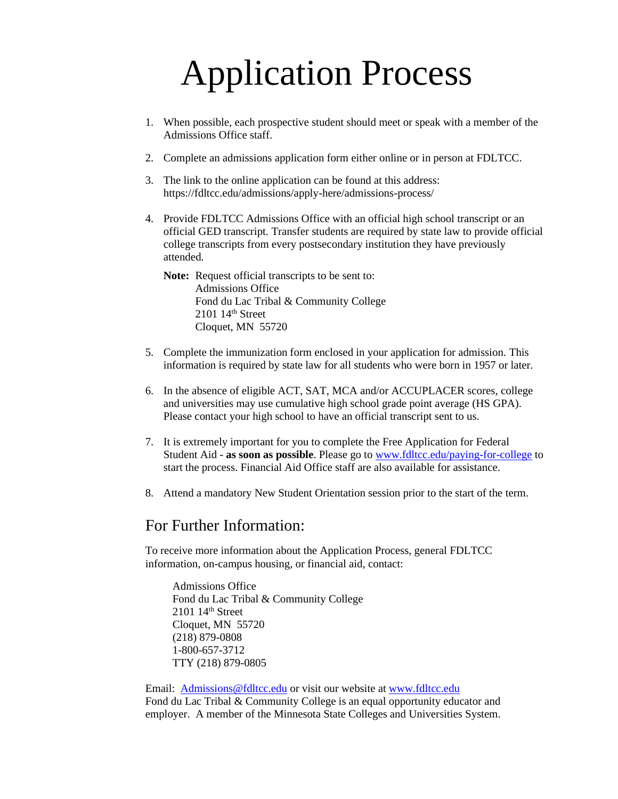# Application Process

- 1. When possible, each prospective student should meet or speak with a member of the Admissions Office staff.
- 2. Complete an admissions application form either online or in person at FDLTCC.
- 3. The link to the online application can be found at this address: https://fdltcc.edu/admissions/apply-here/admissions-process/
- 4. Provide FDLTCC Admissions Office with an official high school transcript or an official GED transcript. Transfer students are required by state law to provide official college transcripts from every postsecondary institution they have previously attended.

**Note:** Request official transcripts to be sent to: Admissions Office Fond du Lac Tribal & Community College 2101 14th Street Cloquet, MN 55720

- 5. Complete the immunization form enclosed in your application for admission. This information is required by state law for all students who were born in 1957 or later.
- 6. In the absence of eligible ACT, SAT, MCA and/or ACCUPLACER scores, college and universities may use cumulative high school grade point average (HS GPA). Please contact your high school to have an official transcript sent to us.
- 7. It is extremely important for you to complete the Free Application for Federal Student Aid - **as soon as possible**. Please go to [www.fdltcc.edu/paying-for-college](http://www.fdltcc.edu/paying-for-college) to start the process. Financial Aid Office staff are also available for assistance.
- 8. Attend a mandatory New Student Orientation session prior to the start of the term.

## For Further Information:

To receive more information about the Application Process, general FDLTCC information, on-campus housing, or financial aid, contact:

Admissions Office Fond du Lac Tribal & Community College 2101 14<sup>th</sup> Street Cloquet, MN 55720 (218) 879-0808 1-800-657-3712 TTY (218) 879-0805

Email: [Admissions@fdltcc.edu](mailto:Admissions@fdltcc.edu) or visit our website at [www.fdltcc.edu](http://www.fdltcc.edu/) Fond du Lac Tribal & Community College is an equal opportunity educator and employer. A member of the Minnesota State Colleges and Universities System.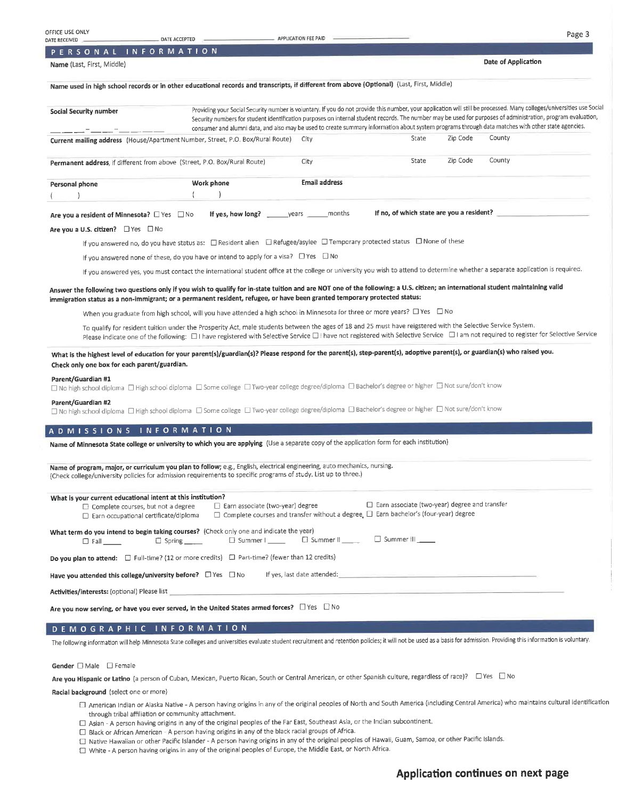| OFFICE USE ONLY                                                                                                                                           |                                                                                                                                                                                                                                                                                                                                                        | APPLICATION FEE PAID        |                                                                                                                                                          |          | Page 3                                                                                                                                                                                                                                                                                                                                                                                                                                                                                       |
|-----------------------------------------------------------------------------------------------------------------------------------------------------------|--------------------------------------------------------------------------------------------------------------------------------------------------------------------------------------------------------------------------------------------------------------------------------------------------------------------------------------------------------|-----------------------------|----------------------------------------------------------------------------------------------------------------------------------------------------------|----------|----------------------------------------------------------------------------------------------------------------------------------------------------------------------------------------------------------------------------------------------------------------------------------------------------------------------------------------------------------------------------------------------------------------------------------------------------------------------------------------------|
| DATE RECEIVED<br>PERSONAL INFORMATION                                                                                                                     | DATE ACCEPTED                                                                                                                                                                                                                                                                                                                                          |                             |                                                                                                                                                          |          |                                                                                                                                                                                                                                                                                                                                                                                                                                                                                              |
| Name (Last, First, Middle)                                                                                                                                |                                                                                                                                                                                                                                                                                                                                                        |                             |                                                                                                                                                          |          | Date of Application                                                                                                                                                                                                                                                                                                                                                                                                                                                                          |
|                                                                                                                                                           |                                                                                                                                                                                                                                                                                                                                                        |                             |                                                                                                                                                          |          |                                                                                                                                                                                                                                                                                                                                                                                                                                                                                              |
|                                                                                                                                                           | Name used in high school records or in other educational records and transcripts, if different from above (Optional) (Last, First, Middle)                                                                                                                                                                                                             |                             |                                                                                                                                                          |          |                                                                                                                                                                                                                                                                                                                                                                                                                                                                                              |
| Social Security number                                                                                                                                    |                                                                                                                                                                                                                                                                                                                                                        |                             |                                                                                                                                                          |          | Providing your Social Security number is voluntary. If you do not provide this number, your application will still be processed. Many colleges/universities use Social<br>Security numbers for student identification purposes on internal student records. The number may be used for purposes of administration, program evaluation,<br>consumer and alumni data, and also may be used to create summary information about system programs through data matches with other state agencies. |
|                                                                                                                                                           | Current mailing address (House/Apartment Number, Street, P.O. Box/Rural Route)                                                                                                                                                                                                                                                                         | City                        | State                                                                                                                                                    | Zip Code | County                                                                                                                                                                                                                                                                                                                                                                                                                                                                                       |
|                                                                                                                                                           | Permanent address, if different from above (Street, P.O. Box/Rural Route)                                                                                                                                                                                                                                                                              | City                        | State                                                                                                                                                    | Zip Code | County                                                                                                                                                                                                                                                                                                                                                                                                                                                                                       |
| Personal phone                                                                                                                                            | Work phone                                                                                                                                                                                                                                                                                                                                             | Email address               |                                                                                                                                                          |          |                                                                                                                                                                                                                                                                                                                                                                                                                                                                                              |
|                                                                                                                                                           |                                                                                                                                                                                                                                                                                                                                                        |                             |                                                                                                                                                          |          |                                                                                                                                                                                                                                                                                                                                                                                                                                                                                              |
| Are you a resident of Minnesota? O Yes O No                                                                                                               |                                                                                                                                                                                                                                                                                                                                                        |                             |                                                                                                                                                          |          | If no, of which state are you a resident?                                                                                                                                                                                                                                                                                                                                                                                                                                                    |
| Are you a U.S. citizen? PYes DNo                                                                                                                          |                                                                                                                                                                                                                                                                                                                                                        |                             |                                                                                                                                                          |          |                                                                                                                                                                                                                                                                                                                                                                                                                                                                                              |
|                                                                                                                                                           | If you answered no, do you have status as:<br>$\Box$ Resident alient $\Box$ Refugee/asylee $\Box$ Temporary protected status $\Box$ None of these                                                                                                                                                                                                      |                             |                                                                                                                                                          |          |                                                                                                                                                                                                                                                                                                                                                                                                                                                                                              |
|                                                                                                                                                           | If you answered none of these, do you have or intend to apply for a visa? $\Box$ Yes $\Box$ No                                                                                                                                                                                                                                                         |                             |                                                                                                                                                          |          |                                                                                                                                                                                                                                                                                                                                                                                                                                                                                              |
|                                                                                                                                                           | If you answered yes, you must contact the international student office at the college or university you wish to attend to determine whether a separate application is required.                                                                                                                                                                        |                             |                                                                                                                                                          |          |                                                                                                                                                                                                                                                                                                                                                                                                                                                                                              |
|                                                                                                                                                           | Answer the following two questions only if you wish to qualify for in-state tuition and are NOT one of the following: a U.S. citizen; an international student maintaining valid<br>immigration status as a non-immigrant; or a permanent resident, refugee, or have been granted temporary protected status:                                          |                             |                                                                                                                                                          |          |                                                                                                                                                                                                                                                                                                                                                                                                                                                                                              |
|                                                                                                                                                           | When you graduate from high school, will you have attended a high school in Minnesota for three or more years? [ Yes [ ]] No                                                                                                                                                                                                                           |                             |                                                                                                                                                          |          |                                                                                                                                                                                                                                                                                                                                                                                                                                                                                              |
|                                                                                                                                                           | To qualify for resident tuition under the Prosperity Act, male students between the ages of 18 and 25 must have reigstered with the Selective Service System.<br>Please indicate one of the following: [1] have registered with Selective Service [1] have not registered with Selective Service [1] am not required to register for Selective Service |                             |                                                                                                                                                          |          |                                                                                                                                                                                                                                                                                                                                                                                                                                                                                              |
| Check only one box for each parent/guardian.                                                                                                              | What is the highest level of education for your parent(s)/guardian(s)? Please respond for the parent(s), step-parent(s), adoptive parent(s), or guardian(s) who raised you.                                                                                                                                                                            |                             |                                                                                                                                                          |          |                                                                                                                                                                                                                                                                                                                                                                                                                                                                                              |
| Parent/Guardian #1                                                                                                                                        | □ No high school diploma □ High school diploma □ Some college □ Two-year college degree/diploma □ Bachelor's degree or higher □ Not sure/don't know                                                                                                                                                                                                    |                             |                                                                                                                                                          |          |                                                                                                                                                                                                                                                                                                                                                                                                                                                                                              |
| Parent/Guardian #2                                                                                                                                        | □ No high school diploma □ High school diploma □ Some college □ Two-year college degree/diploma □ Bachelor's degree or higher □ Not sure/don't know                                                                                                                                                                                                    |                             |                                                                                                                                                          |          |                                                                                                                                                                                                                                                                                                                                                                                                                                                                                              |
| ADMISSIONS INFORMATION                                                                                                                                    |                                                                                                                                                                                                                                                                                                                                                        |                             |                                                                                                                                                          |          |                                                                                                                                                                                                                                                                                                                                                                                                                                                                                              |
|                                                                                                                                                           | Name of Minnesota State college or university to which you are applying (Use a separate copy of the application form for each institution)                                                                                                                                                                                                             |                             |                                                                                                                                                          |          |                                                                                                                                                                                                                                                                                                                                                                                                                                                                                              |
|                                                                                                                                                           |                                                                                                                                                                                                                                                                                                                                                        |                             |                                                                                                                                                          |          |                                                                                                                                                                                                                                                                                                                                                                                                                                                                                              |
|                                                                                                                                                           | Name of program, major, or curriculum you plan to follow; e.g., English, electrical engineering, auto mechanics, nursing.<br>(Check college/university policies for admission requirements to specific programs of study. List up to three.)                                                                                                           |                             |                                                                                                                                                          |          |                                                                                                                                                                                                                                                                                                                                                                                                                                                                                              |
| What is your current educational intent at this institution?<br>$\Box$ Complete courses, but not a degree<br>$\Box$ Earn occupational certificate/diploma | Earn associate (two-year) degree                                                                                                                                                                                                                                                                                                                       |                             | $\Box$ Earn associate (two-year) degree and transfer<br>$\Box$ Complete courses and transfer without a degree. $\Box$ Earn bachelor's (four-year) degree |          |                                                                                                                                                                                                                                                                                                                                                                                                                                                                                              |
| $\square$ Fall $\square$                                                                                                                                  | What term do you intend to begin taking courses? (Check only one and indicate the year)<br>$\Box$ Summer $\Box$<br>$\Box$ Spring $\Box$                                                                                                                                                                                                                | Summer II                   | Summer III                                                                                                                                               |          |                                                                                                                                                                                                                                                                                                                                                                                                                                                                                              |
|                                                                                                                                                           | Do you plan to attend: $\square$ Full-time? (12 or more credits) $\square$ Part-time? (fewer than 12 credits)                                                                                                                                                                                                                                          |                             |                                                                                                                                                          |          |                                                                                                                                                                                                                                                                                                                                                                                                                                                                                              |
| Have you attended this college/university before? $\Box$ Yes $\Box$ No                                                                                    |                                                                                                                                                                                                                                                                                                                                                        | If yes, last date attended: |                                                                                                                                                          |          |                                                                                                                                                                                                                                                                                                                                                                                                                                                                                              |

Activities/interests: (optional) Please list

Are you now serving, or have you ever served, in the United States armed forces?  $\Box$  Yes  $\Box$  No

#### DEMOGRAPHIC INFORMATION

The following information will help Minnesota State colleges and universities evaluate student recruitment and retention policies; it will not be used as a basis for admission. Providing this information is voluntary.

Gender **DI** Male **D** Female

Are you Hispanic or Latino (a person of Cuban, Mexican, Puerto Rican, South or Central American, or other Spanish culture, regardless of race)? <br>
O Yes <br />
D No

Racial background (select one or more)

- □ American Indian or Alaska Native A person having origins in any of the original peoples of North and South America (including Central America) who maintains cultural identification through tribal affiliation or community attachment.
- □ Asian A person having origins in any of the original peoples of the Far East, Southeast Asia, or the Indian subcontinent.
- □ Black or African American A person having origins in any of the black racial groups of Africa.
- □ Native Hawaiian or other Pacific Islander A person having origins in any of the original peoples of Hawaii, Guam, Samoa, or other Pacific Islands.
- White A person having origins in any of the original peoples of Europe, the Middle East, or North Africa.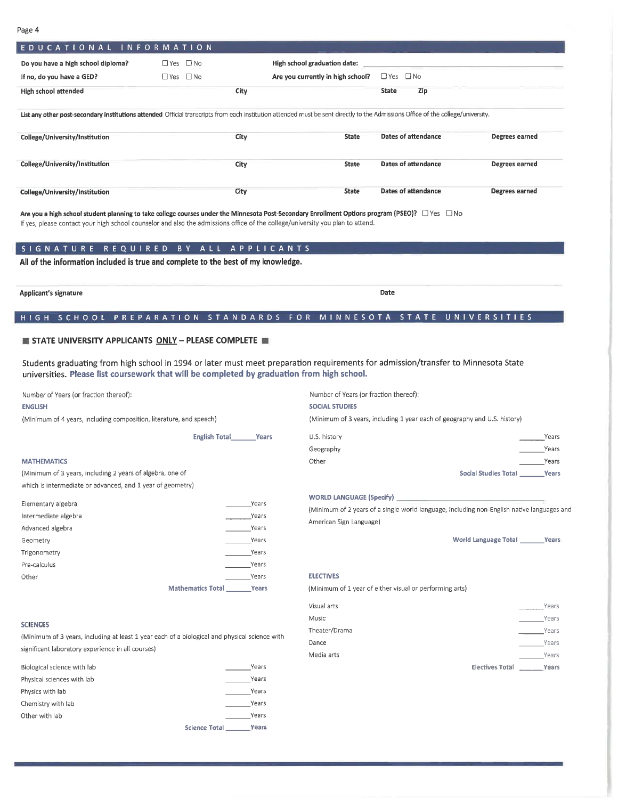Page 4

| r ag∈ →                                                             |                                                                                                                                                                                                                                                                                                                                                                                                                                |                                                                           |                                                         |                                                                                            |  |
|---------------------------------------------------------------------|--------------------------------------------------------------------------------------------------------------------------------------------------------------------------------------------------------------------------------------------------------------------------------------------------------------------------------------------------------------------------------------------------------------------------------|---------------------------------------------------------------------------|---------------------------------------------------------|--------------------------------------------------------------------------------------------|--|
| EDUCATIONAL INFORMATION                                             |                                                                                                                                                                                                                                                                                                                                                                                                                                |                                                                           |                                                         |                                                                                            |  |
| Do you have a high school diploma?                                  | $\Box$ Yes $\Box$ No                                                                                                                                                                                                                                                                                                                                                                                                           | High school graduation date:                                              |                                                         |                                                                                            |  |
| If no, do you have a GED?                                           | $\Box$ Yes $\Box$ No                                                                                                                                                                                                                                                                                                                                                                                                           | Are you currently in high school?                                         | $\Box$ Yes $\Box$ No                                    |                                                                                            |  |
| <b>High school attended</b>                                         | City                                                                                                                                                                                                                                                                                                                                                                                                                           |                                                                           | <b>State</b><br>Zip                                     |                                                                                            |  |
|                                                                     |                                                                                                                                                                                                                                                                                                                                                                                                                                |                                                                           |                                                         |                                                                                            |  |
|                                                                     | List any other post-secondary institutions attended Official transcripts from each institution attended must be sent directly to the Admissions Office of the college/university.                                                                                                                                                                                                                                              |                                                                           |                                                         |                                                                                            |  |
| College/University/Institution                                      | City                                                                                                                                                                                                                                                                                                                                                                                                                           | <b>State</b>                                                              | Dates of attendance                                     | Degrees earned                                                                             |  |
| College/University/Institution                                      | City                                                                                                                                                                                                                                                                                                                                                                                                                           | <b>State</b>                                                              | <b>Dates of attendance</b>                              | Degrees earned                                                                             |  |
| College/University/Institution                                      | City                                                                                                                                                                                                                                                                                                                                                                                                                           | <b>State</b>                                                              | <b>Dates of attendance</b>                              | Degrees earned                                                                             |  |
|                                                                     | Are you a high school student planning to take college courses under the Minnesota Post-Secondary Enrollment Options program (PSEO)? $\square$ Yes $\square$ No<br>If yes, please contact your high school counselor and also the admissions office of the college/university you plan to attend.<br>SIGNATURE REQUIRED BY ALL APPLICANTS<br>All of the information included is true and complete to the best of my knowledge. |                                                                           |                                                         |                                                                                            |  |
| <b>Applicant's signature</b>                                        |                                                                                                                                                                                                                                                                                                                                                                                                                                |                                                                           | Date                                                    |                                                                                            |  |
|                                                                     | HIGH SCHOOL PREPARATION STANDARDS FOR MINNESOTA STATE UNIVERSITIES                                                                                                                                                                                                                                                                                                                                                             |                                                                           |                                                         |                                                                                            |  |
| <b>STATE UNIVERSITY APPLICANTS ONLY - PLEASE COMPLETE IN</b>        | Students graduating from high school in 1994 or later must meet preparation requirements for admission/transfer to Minnesota State                                                                                                                                                                                                                                                                                             |                                                                           |                                                         |                                                                                            |  |
|                                                                     | universities. Please list coursework that will be completed by graduation from high school.                                                                                                                                                                                                                                                                                                                                    |                                                                           |                                                         |                                                                                            |  |
| Number of Years (or fraction thereof):                              |                                                                                                                                                                                                                                                                                                                                                                                                                                | Number of Years (or fraction thereof):                                    |                                                         |                                                                                            |  |
| <b>ENGLISH</b>                                                      |                                                                                                                                                                                                                                                                                                                                                                                                                                | <b>SOCIAL STUDIES</b>                                                     |                                                         |                                                                                            |  |
| (Minimum of 4 years, including composition, literature, and speech) |                                                                                                                                                                                                                                                                                                                                                                                                                                | (Minimum of 3 years, including 1 year each of geography and U.S. history) |                                                         |                                                                                            |  |
|                                                                     | <b>English Total _______ Years</b>                                                                                                                                                                                                                                                                                                                                                                                             | U.S. history                                                              |                                                         | Years                                                                                      |  |
|                                                                     |                                                                                                                                                                                                                                                                                                                                                                                                                                | Geography                                                                 |                                                         | Years                                                                                      |  |
| <b>MATHEMATICS</b>                                                  |                                                                                                                                                                                                                                                                                                                                                                                                                                | Other                                                                     |                                                         | Years                                                                                      |  |
| (Minimum of 3 years, including 2 years of algebra, one of           |                                                                                                                                                                                                                                                                                                                                                                                                                                |                                                                           |                                                         | <b>Social Studies Total</b><br>Years                                                       |  |
| which is intermediate or advanced, and 1 year of geometry)          |                                                                                                                                                                                                                                                                                                                                                                                                                                |                                                                           |                                                         |                                                                                            |  |
|                                                                     |                                                                                                                                                                                                                                                                                                                                                                                                                                |                                                                           |                                                         |                                                                                            |  |
| Elementary algebra                                                  | Years                                                                                                                                                                                                                                                                                                                                                                                                                          |                                                                           |                                                         | (Minimum of 2 years of a single world language, including non-English native languages and |  |
| Intermediate algebra                                                | Years                                                                                                                                                                                                                                                                                                                                                                                                                          | American Sign Language)                                                   |                                                         |                                                                                            |  |
| Advanced algebra                                                    | Years                                                                                                                                                                                                                                                                                                                                                                                                                          |                                                                           |                                                         |                                                                                            |  |
| Geometry                                                            | Years                                                                                                                                                                                                                                                                                                                                                                                                                          |                                                                           |                                                         | World Language Total _______ Years                                                         |  |
| Trigonometry                                                        | Years                                                                                                                                                                                                                                                                                                                                                                                                                          |                                                                           |                                                         |                                                                                            |  |
| Pre-calculus                                                        | <b>Exercise Years</b>                                                                                                                                                                                                                                                                                                                                                                                                          |                                                                           |                                                         |                                                                                            |  |
| Other                                                               | Years                                                                                                                                                                                                                                                                                                                                                                                                                          | <b>ELECTIVES</b>                                                          |                                                         |                                                                                            |  |
|                                                                     | Mathematics Total ________ Years                                                                                                                                                                                                                                                                                                                                                                                               |                                                                           | (Minimum of 1 year of either visual or performing arts) |                                                                                            |  |
|                                                                     |                                                                                                                                                                                                                                                                                                                                                                                                                                | Visual arts                                                               |                                                         | Years                                                                                      |  |
|                                                                     |                                                                                                                                                                                                                                                                                                                                                                                                                                | Music                                                                     |                                                         | Years                                                                                      |  |
| <b>SCIENCES</b>                                                     |                                                                                                                                                                                                                                                                                                                                                                                                                                | Theater/Drama                                                             |                                                         | Years                                                                                      |  |
|                                                                     | (Minimum of 3 years, including at least 1 year each of a biological and physical science with                                                                                                                                                                                                                                                                                                                                  | Dance                                                                     |                                                         | Years                                                                                      |  |
| significant laboratory experience in all courses)                   |                                                                                                                                                                                                                                                                                                                                                                                                                                | Media arts                                                                |                                                         | Years                                                                                      |  |
| Biological science with lab                                         | Years                                                                                                                                                                                                                                                                                                                                                                                                                          |                                                                           |                                                         | <b>Electives Total</b><br>Years                                                            |  |
| Physical sciences with lab                                          | Years                                                                                                                                                                                                                                                                                                                                                                                                                          |                                                                           |                                                         |                                                                                            |  |
| Physics with lab                                                    | Years                                                                                                                                                                                                                                                                                                                                                                                                                          |                                                                           |                                                         |                                                                                            |  |
| Chemistry with lab                                                  | Years                                                                                                                                                                                                                                                                                                                                                                                                                          |                                                                           |                                                         |                                                                                            |  |
| Other with lah                                                      | Years                                                                                                                                                                                                                                                                                                                                                                                                                          |                                                                           |                                                         |                                                                                            |  |

Science Total \_\_\_\_\_\_\_\_\_\_ Years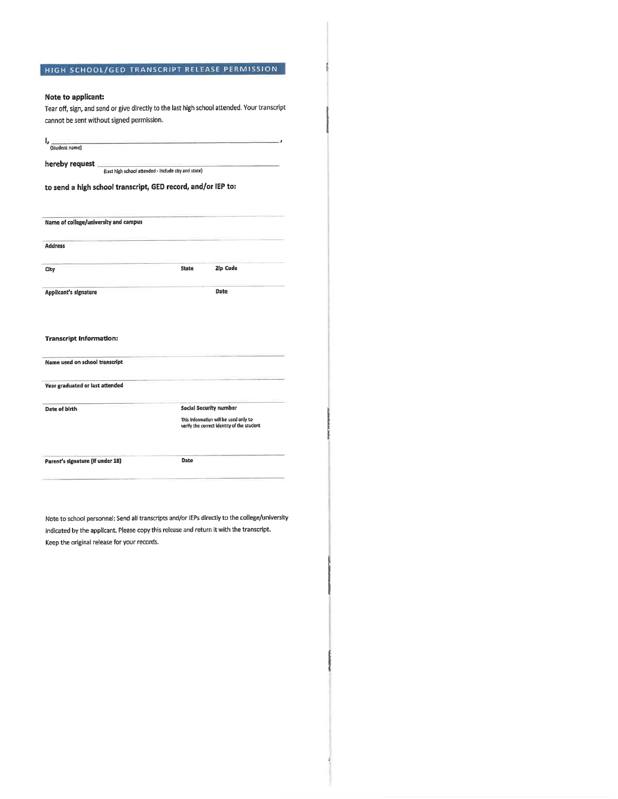## HIGH SCHOOL/GED TRANSCRIPT RELEASE PERMISSION

### Note to applicant:

Tear off, sign, and send or give directly to the last high school attended. Your transcript cannot be sent without signed permission.

| (Last high school attended - include city and state)<br>to send a high school transcript, GED record, and/or IEP to: |                                                                                     |  |  |  |  |
|----------------------------------------------------------------------------------------------------------------------|-------------------------------------------------------------------------------------|--|--|--|--|
|                                                                                                                      |                                                                                     |  |  |  |  |
| Name of college/university and campus                                                                                |                                                                                     |  |  |  |  |
| <b>Address</b>                                                                                                       |                                                                                     |  |  |  |  |
| City                                                                                                                 | Zip Code<br><b>State</b>                                                            |  |  |  |  |
| Applicant's signature                                                                                                | Date                                                                                |  |  |  |  |
|                                                                                                                      |                                                                                     |  |  |  |  |
| <b>Transcript Information:</b>                                                                                       |                                                                                     |  |  |  |  |
| Name used on school transcript                                                                                       |                                                                                     |  |  |  |  |
|                                                                                                                      |                                                                                     |  |  |  |  |
|                                                                                                                      |                                                                                     |  |  |  |  |
| Year graduated or last attended<br>Date of birth                                                                     | Social Security number                                                              |  |  |  |  |
|                                                                                                                      | This information will be used only to<br>verify the correct identity of the student |  |  |  |  |

indicated by the applicant. Please copy this release and return it with the transcript. Keep the original release for your records.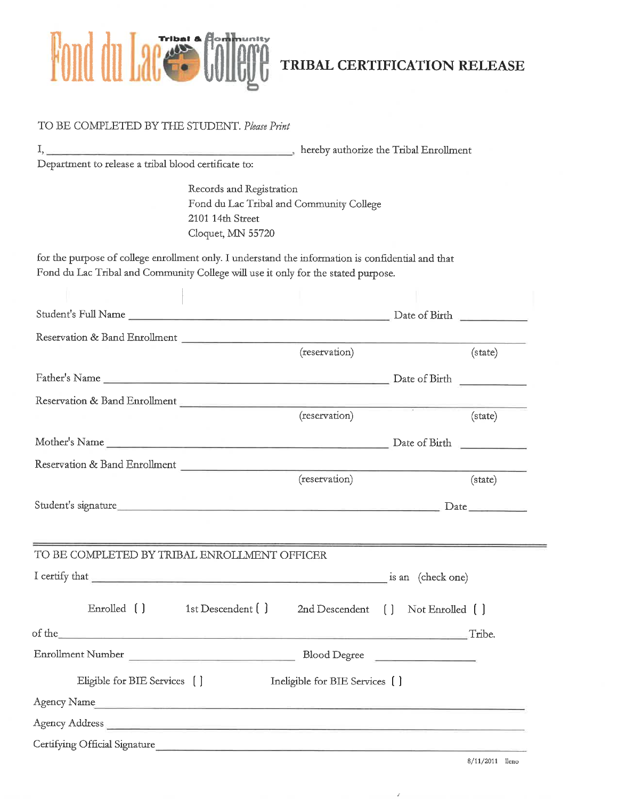

TRIBAL CERTIFICATION RELEASE

| I, hereby authorize the Tribal Enrollment                                                                                                                                                                                      |                                          |         |
|--------------------------------------------------------------------------------------------------------------------------------------------------------------------------------------------------------------------------------|------------------------------------------|---------|
| Department to release a tribal blood certificate to:                                                                                                                                                                           |                                          |         |
| Records and Registration<br>2101 14th Street<br>Cloquet, MN 55720                                                                                                                                                              | Fond du Lac Tribal and Community College |         |
| for the purpose of college enrollment only. I understand the information is confidential and that<br>Fond du Lac Tribal and Community College will use it only for the stated purpose.                                         |                                          |         |
|                                                                                                                                                                                                                                |                                          |         |
|                                                                                                                                                                                                                                |                                          |         |
|                                                                                                                                                                                                                                |                                          |         |
|                                                                                                                                                                                                                                | (reservation)                            | (state) |
|                                                                                                                                                                                                                                |                                          |         |
|                                                                                                                                                                                                                                |                                          |         |
|                                                                                                                                                                                                                                | (reservation)                            | (state) |
|                                                                                                                                                                                                                                |                                          |         |
| Reservation & Band Enrollment                                                                                                                                                                                                  |                                          |         |
|                                                                                                                                                                                                                                | (reservation)                            | (state) |
| Student's signature. Date                                                                                                                                                                                                      |                                          |         |
|                                                                                                                                                                                                                                |                                          |         |
| TO BE COMPLETED BY TRIBAL ENROLLMENT OFFICER                                                                                                                                                                                   |                                          |         |
|                                                                                                                                                                                                                                |                                          |         |
| Enrolled () 1st Descendent ()                                                                                                                                                                                                  | 2nd Descendent [ ] Not Enrolled [ ]      |         |
| of the Tribe.                                                                                                                                                                                                                  |                                          |         |
|                                                                                                                                                                                                                                |                                          |         |
| Eligible for BIE Services []                                                                                                                                                                                                   | Ineligible for BIE Services []           |         |
| Agency Name and the contract of the contract of the contract of the contract of the contract of the contract of the contract of the contract of the contract of the contract of the contract of the contract of the contract o |                                          |         |
|                                                                                                                                                                                                                                |                                          |         |
|                                                                                                                                                                                                                                |                                          |         |

 $8/11/2011$  lleno

¥.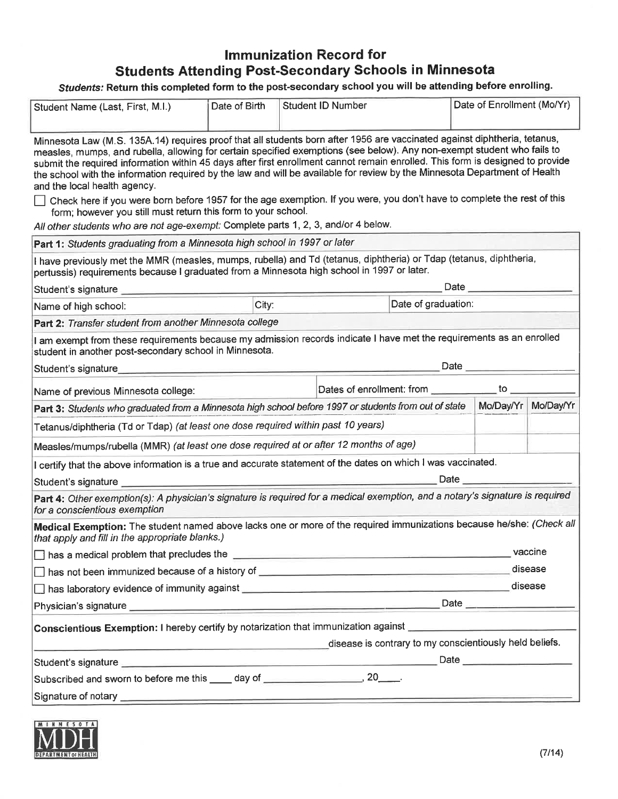# **Immunization Record for Students Attending Post-Secondary Schools in Minnesota**

Students: Return this completed form to the post-secondary school you will be attending before enrolling.

| Student Name (Last, First, M.I.)                                                                                                                                                                                                                                                                                                                                                                                                                                                                                                                                                                                                                                                | Date of Birth |  | <b>Student ID Number</b>                                                                                              |                     | Date of Enrollment (Mo/Yr) |         |
|---------------------------------------------------------------------------------------------------------------------------------------------------------------------------------------------------------------------------------------------------------------------------------------------------------------------------------------------------------------------------------------------------------------------------------------------------------------------------------------------------------------------------------------------------------------------------------------------------------------------------------------------------------------------------------|---------------|--|-----------------------------------------------------------------------------------------------------------------------|---------------------|----------------------------|---------|
| Minnesota Law (M.S. 135A.14) requires proof that all students born after 1956 are vaccinated against diphtheria, tetanus,<br>measles, mumps, and rubella, allowing for certain specified exemptions (see below). Any non-exempt student who fails to<br>submit the required information within 45 days after first enrollment cannot remain enrolled. This form is designed to provide<br>the school with the information required by the law and will be available for review by the Minnesota Department of Health<br>and the local health agency.<br>Check here if you were born before 1957 for the age exemption. If you were, you don't have to complete the rest of this |               |  |                                                                                                                       |                     |                            |         |
| form; however you still must return this form to your school.                                                                                                                                                                                                                                                                                                                                                                                                                                                                                                                                                                                                                   |               |  |                                                                                                                       |                     |                            |         |
| All other students who are not age-exempt: Complete parts 1, 2, 3, and/or 4 below.                                                                                                                                                                                                                                                                                                                                                                                                                                                                                                                                                                                              |               |  |                                                                                                                       |                     |                            |         |
| Part 1: Students graduating from a Minnesota high school in 1997 or later                                                                                                                                                                                                                                                                                                                                                                                                                                                                                                                                                                                                       |               |  |                                                                                                                       |                     |                            |         |
| I have previously met the MMR (measles, mumps, rubella) and Td (tetanus, diphtheria) or Tdap (tetanus, diphtheria,<br>pertussis) requirements because I graduated from a Minnesota high school in 1997 or later.                                                                                                                                                                                                                                                                                                                                                                                                                                                                |               |  |                                                                                                                       |                     |                            |         |
|                                                                                                                                                                                                                                                                                                                                                                                                                                                                                                                                                                                                                                                                                 |               |  |                                                                                                                       |                     | Date                       |         |
| Name of high school:                                                                                                                                                                                                                                                                                                                                                                                                                                                                                                                                                                                                                                                            | City:         |  |                                                                                                                       | Date of graduation: |                            |         |
| Part 2: Transfer student from another Minnesota college                                                                                                                                                                                                                                                                                                                                                                                                                                                                                                                                                                                                                         |               |  |                                                                                                                       |                     |                            |         |
| I am exempt from these requirements because my admission records indicate I have met the requirements as an enrolled<br>student in another post-secondary school in Minnesota.                                                                                                                                                                                                                                                                                                                                                                                                                                                                                                  |               |  |                                                                                                                       |                     |                            |         |
| Student's signature <b>Student's</b> signature                                                                                                                                                                                                                                                                                                                                                                                                                                                                                                                                                                                                                                  |               |  |                                                                                                                       |                     | Date ________              |         |
| Name of previous Minnesota college:                                                                                                                                                                                                                                                                                                                                                                                                                                                                                                                                                                                                                                             |               |  | $\overline{\mathsf{10}}$ $\overline{\mathsf{0}}$<br>Dates of enrollment: from                                         |                     |                            |         |
| Part 3: Students who graduated from a Minnesota high school before 1997 or students from out of state                                                                                                                                                                                                                                                                                                                                                                                                                                                                                                                                                                           |               |  |                                                                                                                       |                     | Mo/Day/Yr Mo/Day/Yr        |         |
| Tetanus/diphtheria (Td or Tdap) (at least one dose required within past 10 years)                                                                                                                                                                                                                                                                                                                                                                                                                                                                                                                                                                                               |               |  |                                                                                                                       |                     |                            |         |
| Measles/mumps/rubella (MMR) (at least one dose required at or after 12 months of age)                                                                                                                                                                                                                                                                                                                                                                                                                                                                                                                                                                                           |               |  |                                                                                                                       |                     |                            |         |
| I certify that the above information is a true and accurate statement of the dates on which I was vaccinated.                                                                                                                                                                                                                                                                                                                                                                                                                                                                                                                                                                   |               |  |                                                                                                                       |                     |                            |         |
|                                                                                                                                                                                                                                                                                                                                                                                                                                                                                                                                                                                                                                                                                 |               |  |                                                                                                                       |                     |                            |         |
| Part 4: Other exemption(s): A physician's signature is required for a medical exemption, and a notary's signature is required<br>for a conscientious exemption                                                                                                                                                                                                                                                                                                                                                                                                                                                                                                                  |               |  |                                                                                                                       |                     |                            |         |
| Medical Exemption: The student named above lacks one or more of the required immunizations because he/she: (Check all<br>that apply and fill in the appropriate blanks.)                                                                                                                                                                                                                                                                                                                                                                                                                                                                                                        |               |  |                                                                                                                       |                     |                            |         |
| $\Box$ has a medical problem that precludes the $\_\_$                                                                                                                                                                                                                                                                                                                                                                                                                                                                                                                                                                                                                          |               |  |                                                                                                                       |                     |                            |         |
| disease                                                                                                                                                                                                                                                                                                                                                                                                                                                                                                                                                                                                                                                                         |               |  |                                                                                                                       |                     |                            |         |
| has laboratory evidence of immunity against <b>with the contract of the contract of the contract of the contract of the contract of the contract of the contract of the contract of the contract of the contract of the contract</b>                                                                                                                                                                                                                                                                                                                                                                                                                                            |               |  |                                                                                                                       |                     |                            | disease |
| Physician's signature <b>contract and the contract of the contract of the contract of the contract of the contract of the contract of the contract of the contract of the contract of the contract of the contract of the contra</b>                                                                                                                                                                                                                                                                                                                                                                                                                                            |               |  |                                                                                                                       |                     |                            |         |
| Conscientious Exemption: I hereby certify by notarization that immunization against                                                                                                                                                                                                                                                                                                                                                                                                                                                                                                                                                                                             |               |  |                                                                                                                       |                     |                            |         |
| <u> 1988 - Andrea Brennand, amerikansk politik (</u>                                                                                                                                                                                                                                                                                                                                                                                                                                                                                                                                                                                                                            |               |  | disease is contrary to my conscientiously held beliefs.                                                               |                     |                            |         |
|                                                                                                                                                                                                                                                                                                                                                                                                                                                                                                                                                                                                                                                                                 |               |  |                                                                                                                       |                     |                            |         |
| Subscribed and sworn to before me this _____ day of _______________________, 20_____.                                                                                                                                                                                                                                                                                                                                                                                                                                                                                                                                                                                           |               |  |                                                                                                                       |                     |                            |         |
| Signature of notary                                                                                                                                                                                                                                                                                                                                                                                                                                                                                                                                                                                                                                                             |               |  | <u> 1980 - Johann Harry Harry Harry Harry Harry Harry Harry Harry Harry Harry Harry Harry Harry Harry Harry Harry</u> |                     |                            |         |